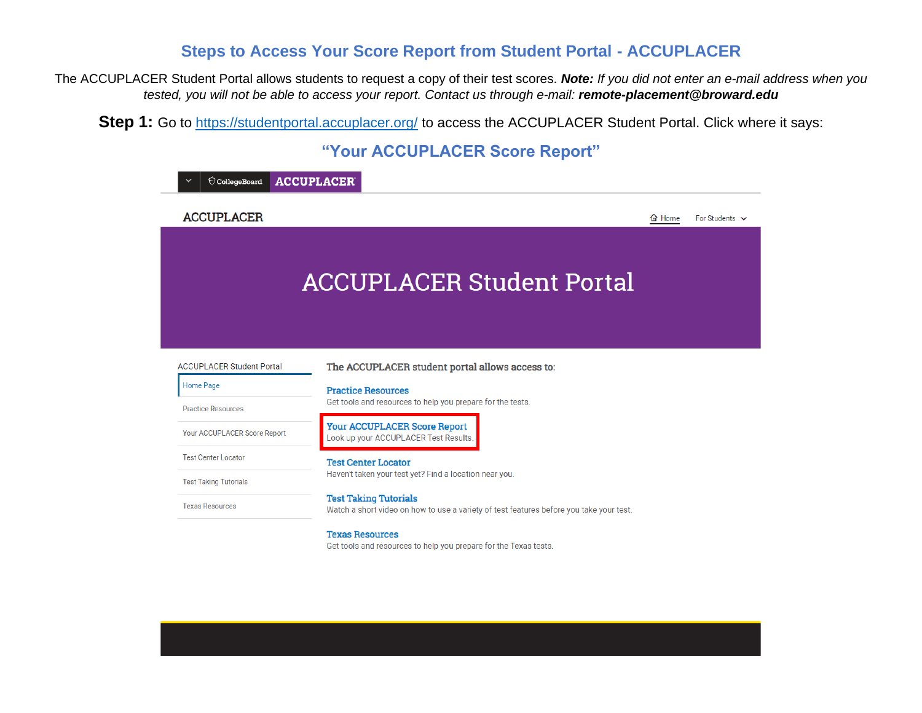## **Steps to Access Your Score Report from Student Portal - ACCUPLACER**

The ACCUPLACER Student Portal allows students to request a copy of their test scores. *Note: If you did not enter an e-mail address when you tested, you will not be able to access your report. Contact us through e-mail: remote-placement@broward.edu*

**Step 1:** Go to<https://studentportal.accuplacer.org/> to access the ACCUPLACER Student Portal. Click where it says:

## **"Your ACCUPLACER Score Report"**

| CollegeBoard                                                                                                                                       | <b>ACCUPLACER</b>                                                                                                       |               |                     |  |  |
|----------------------------------------------------------------------------------------------------------------------------------------------------|-------------------------------------------------------------------------------------------------------------------------|---------------|---------------------|--|--|
| <b>ACCUPLACER</b>                                                                                                                                  |                                                                                                                         | <b>奋 Home</b> | For Students $\vee$ |  |  |
|                                                                                                                                                    |                                                                                                                         |               |                     |  |  |
|                                                                                                                                                    | <b>ACCUPLACER Student Portal</b>                                                                                        |               |                     |  |  |
|                                                                                                                                                    |                                                                                                                         |               |                     |  |  |
| <b>ACCUPLACER Student Portal</b>                                                                                                                   | The ACCUPLACER student portal allows access to:                                                                         |               |                     |  |  |
| <b>Home Page</b>                                                                                                                                   | <b>Practice Resources</b>                                                                                               |               |                     |  |  |
| <b>Practice Resources</b>                                                                                                                          | Get tools and resources to help you prepare for the tests.                                                              |               |                     |  |  |
| Your ACCUPLACER Score Report                                                                                                                       | <b>Your ACCUPLACER Score Report</b><br>Look up your ACCUPLACER Test Results.                                            |               |                     |  |  |
| <b>Test Center Locator</b><br><b>Test Center Locator</b><br>Haven't taken your test yet? Find a location near you.<br><b>Test Taking Tutorials</b> |                                                                                                                         |               |                     |  |  |
|                                                                                                                                                    |                                                                                                                         |               |                     |  |  |
| <b>Texas Resources</b>                                                                                                                             | <b>Test Taking Tutorials</b><br>Watch a short video on how to use a variety of test features before you take your test. |               |                     |  |  |
|                                                                                                                                                    | <b>Texas Resources</b>                                                                                                  |               |                     |  |  |

Get tools and resources to help you prepare for the Texas tests.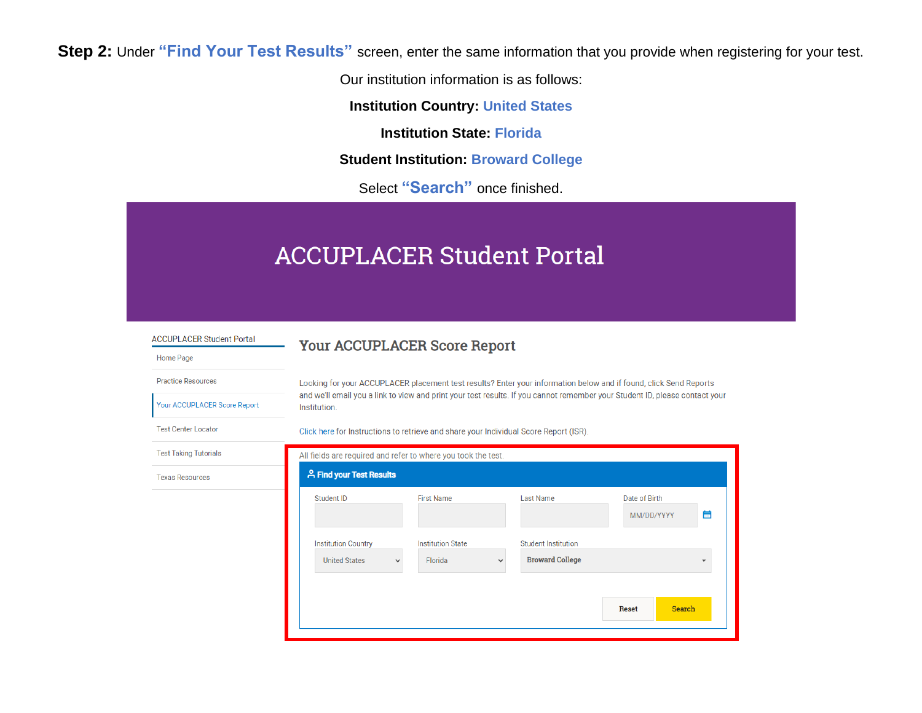**Step 2:** Under **"Find Your Test Results"** screen, enter the same information that you provide when registering for your test.

Our institution information is as follows:

**Institution Country: United States**

**Institution State: Florida**

**Student Institution: Broward College**

Select **"Search"** once finished.

# **ACCUPLACER Student Portal**

**ACCUPLACER Student Portal** 

Your ACCUPLACER Score Report

#### Your ACCUPLACER Score Report

Looking for your ACCUPLACER placement test results? Enter your information below and if found, click Send Reports and we'll email you a link to view and print your test results. If you cannot remember your Student ID, please contact your Institution.

**Test Center Locator** 

**Practice Resources** 

Home Page

Click here for Instructions to retrieve and share your Individual Score Report (ISR).

| All fields are required and refer to where you took the test. |                          |                            |                             |   |
|---------------------------------------------------------------|--------------------------|----------------------------|-----------------------------|---|
|                                                               |                          |                            |                             |   |
| Student ID                                                    | <b>First Name</b>        | Last Name                  | Date of Birth<br>MM/DD/YYYY | 曲 |
| <b>Institution Country</b>                                    | <b>Institution State</b> | <b>Student Institution</b> |                             |   |
| <b>United States</b>                                          | Florida<br>$\checkmark$  | <b>Broward College</b>     |                             | ÷ |
|                                                               |                          |                            |                             |   |
|                                                               |                          |                            | Search<br><b>Reset</b>      |   |
|                                                               |                          | A Find your Test Results   |                             |   |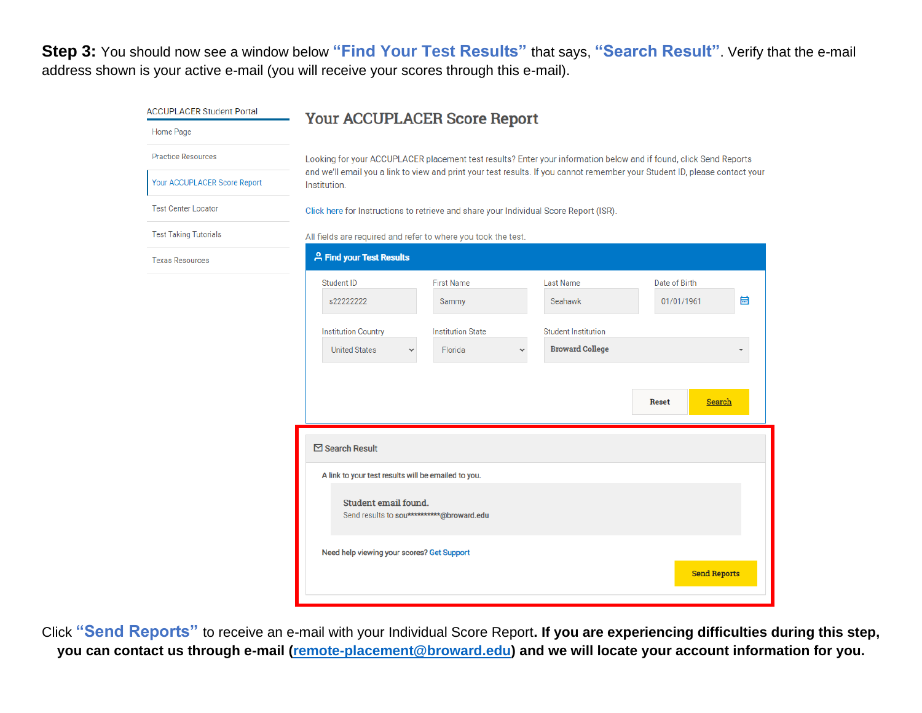**Step 3:** You should now see a window below **"Find Your Test Results"** that says, **"Search Result"**. Verify that the e-mail address shown is your active e-mail (you will receive your scores through this e-mail).

| <b>ACCUPLACER Student Portal</b> | <b>Your ACCUPLACER Score Report</b>                                                                                                         |                          |                                        |                               |  |
|----------------------------------|---------------------------------------------------------------------------------------------------------------------------------------------|--------------------------|----------------------------------------|-------------------------------|--|
| Home Page                        |                                                                                                                                             |                          |                                        |                               |  |
| <b>Practice Resources</b>        | Looking for your ACCUPLACER placement test results? Enter your information below and if found, click Send Reports                           |                          |                                        |                               |  |
| Your ACCUPLACER Score Report     | and we'll email you a link to view and print your test results. If you cannot remember your Student ID, please contact your<br>Institution. |                          |                                        |                               |  |
| <b>Test Center Locator</b>       | Click here for Instructions to retrieve and share your Individual Score Report (ISR).                                                       |                          |                                        |                               |  |
| <b>Test Taking Tutorials</b>     | All fields are required and refer to where you took the test.                                                                               |                          |                                        |                               |  |
| <b>Texas Resources</b>           | <b>A Find your Test Results</b>                                                                                                             |                          |                                        |                               |  |
|                                  | <b>Student ID</b>                                                                                                                           | <b>First Name</b>        | <b>Last Name</b>                       | Date of Birth                 |  |
|                                  | s22222222                                                                                                                                   | Sammy                    | Seahawk                                | 崮<br>01/01/1961               |  |
|                                  | <b>Institution Country</b>                                                                                                                  | <b>Institution State</b> | <b>Student Institution</b>             |                               |  |
|                                  | <b>United States</b><br>v                                                                                                                   | Florida                  | <b>Broward College</b><br>$\checkmark$ |                               |  |
|                                  |                                                                                                                                             |                          |                                        |                               |  |
|                                  |                                                                                                                                             |                          |                                        | <b>Search</b><br><b>Reset</b> |  |
|                                  |                                                                                                                                             |                          |                                        |                               |  |
|                                  | $\boxdot$ Search Result                                                                                                                     |                          |                                        |                               |  |
|                                  | A link to your test results will be emailed to you.                                                                                         |                          |                                        |                               |  |
|                                  | Student email found.<br>Send results to sou***********@broward.edu                                                                          |                          |                                        |                               |  |
|                                  | Need help viewing your scores? Get Support                                                                                                  |                          |                                        | <b>Send Reports</b>           |  |

Click **"Send Reports"** to receive an e-mail with your Individual Score Report**. If you are experiencing difficulties during this step, you can contact us through e-mail [\(remote-placement@broward.edu\)](mailto:remote-placement@broward.edu) and we will locate your account information for you.**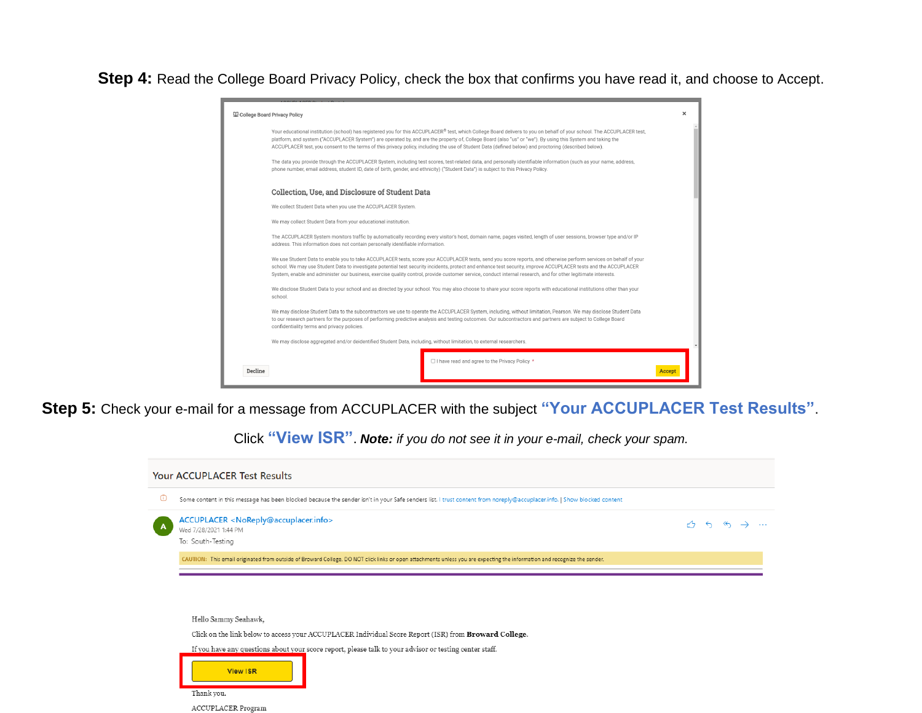**Step 4:** Read the College Board Privacy Policy, check the box that confirms you have read it, and choose to Accept.

|         | College Board Privacy Policy                                                                                                                                                                                                                                                                                                                                                                                                                                                                            | $\times$ |  |
|---------|---------------------------------------------------------------------------------------------------------------------------------------------------------------------------------------------------------------------------------------------------------------------------------------------------------------------------------------------------------------------------------------------------------------------------------------------------------------------------------------------------------|----------|--|
|         | Your educational institution (school) has registered you for this ACCUPLACER® test, which College Board delivers to you on behalf of your school. The ACCUPLACER test,<br>platform, and system ("ACCUPLACER System") are operated by, and are the property of, College Board (also "us" or "we"). By using this System and taking the<br>ACCUPLACER test, you consent to the terms of this privacy policy, including the use of Student Data (defined below) and proctoring (described below).          |          |  |
|         | The data you provide through the ACCUPLACER System, including test scores, test-related data, and personally identifiable information (such as your name, address,<br>phone number, email address, student ID, date of birth, gender, and ethnicity) ("Student Data") is subject to this Privacy Policy.                                                                                                                                                                                                |          |  |
|         | Collection, Use, and Disclosure of Student Data                                                                                                                                                                                                                                                                                                                                                                                                                                                         |          |  |
|         | We collect Student Data when you use the ACCUPLACER System.                                                                                                                                                                                                                                                                                                                                                                                                                                             |          |  |
|         | We may collect Student Data from your educational institution.                                                                                                                                                                                                                                                                                                                                                                                                                                          |          |  |
|         | The ACCUPLACER System monitors traffic by automatically recording every visitor's host, domain name, pages visited, length of user sessions, browser type and/or IP<br>address. This information does not contain personally identifiable information.                                                                                                                                                                                                                                                  |          |  |
|         | We use Student Data to enable you to take ACCUPLACER tests, score your ACCUPLACER tests, send you score reports, and otherwise perform services on behalf of your<br>school. We may use Student Data to investigate potential test security incidents, protect and enhance test security, improve ACCUPLACER tests and the ACCUPLACER<br>System, enable and administer our business, exercise quality control, provide customer service, conduct internal research, and for other legitimate interests. |          |  |
|         | We disclose Student Data to your school and as directed by your school. You may also choose to share your score reports with educational institutions other than your<br>school.                                                                                                                                                                                                                                                                                                                        |          |  |
|         | We may disclose Student Data to the subcontractors we use to operate the ACCUPLACER System, including, without limitation, Pearson. We may disclose Student Data<br>to our research partners for the purposes of performing predictive analysis and testing outcomes. Our subcontractors and partners are subject to College Board<br>confidentiality terms and privacy policies.                                                                                                                       |          |  |
|         | We may disclose aggregated and/or deidentified Student Data, including, without limitation, to external researchers.                                                                                                                                                                                                                                                                                                                                                                                    |          |  |
| Decline | □ I have read and agree to the Privacy Policy *                                                                                                                                                                                                                                                                                                                                                                                                                                                         | Ассет    |  |
|         |                                                                                                                                                                                                                                                                                                                                                                                                                                                                                                         |          |  |

**Step 5:** Check your e-mail for a message from ACCUPLACER with the subject **"Your ACCUPLACER Test Results"**.

Click **"View ISR"**. *Note: if you do not see it in your e-mail, check your spam.*